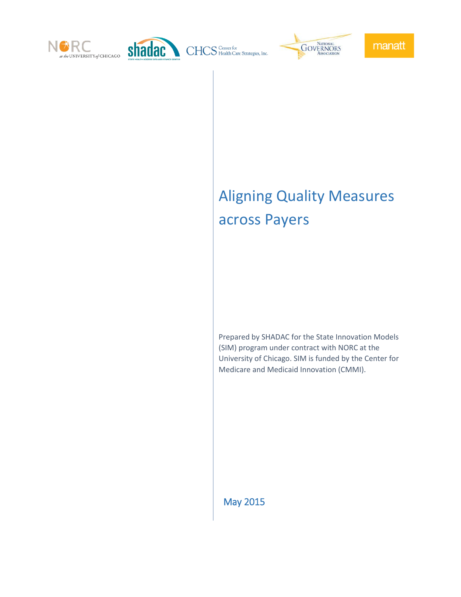



CHCS Center for<br>CHCS Health Care Strategies, Inc.



# Aligning Quality Measures across Payers

Prepared by SHADAC for the State Innovation Models (SIM) program under contract with NORC at the University of Chicago. SIM is funded by the Center for Medicare and Medicaid Innovation (CMMI).

May 2015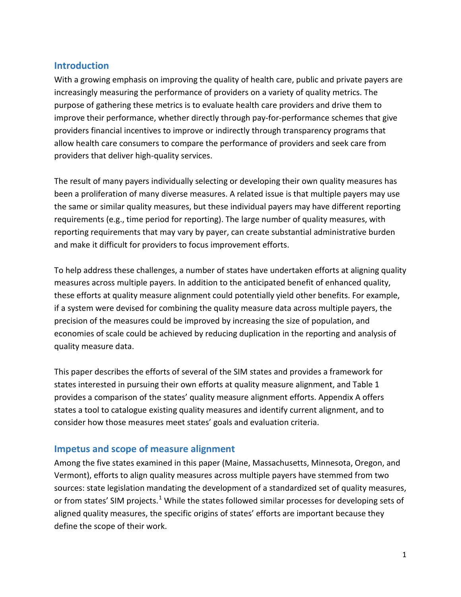# **Introduction**

With a growing emphasis on improving the quality of health care, public and private payers are increasingly measuring the performance of providers on a variety of quality metrics. The purpose of gathering these metrics is to evaluate health care providers and drive them to improve their performance, whether directly through pay-for-performance schemes that give providers financial incentives to improve or indirectly through transparency programs that allow health care consumers to compare the performance of providers and seek care from providers that deliver high-quality services.

The result of many payers individually selecting or developing their own quality measures has been a proliferation of many diverse measures. A related issue is that multiple payers may use the same or similar quality measures, but these individual payers may have different reporting requirements (e.g., time period for reporting). The large number of quality measures, with reporting requirements that may vary by payer, can create substantial administrative burden and make it difficult for providers to focus improvement efforts.

To help address these challenges, a number of states have undertaken efforts at aligning quality measures across multiple payers. In addition to the anticipated benefit of enhanced quality, these efforts at quality measure alignment could potentially yield other benefits. For example, if a system were devised for combining the quality measure data across multiple payers, the precision of the measures could be improved by increasing the size of population, and economies of scale could be achieved by reducing duplication in the reporting and analysis of quality measure data.

This paper describes the efforts of several of the SIM states and provides a framework for states interested in pursuing their own efforts at quality measure alignment, and Table 1 provides a comparison of the states' quality measure alignment efforts. Appendix A offers states a tool to catalogue existing quality measures and identify current alignment, and to consider how those measures meet states' goals and evaluation criteria.

# **Impetus and scope of measure alignment**

Among the five states examined in this paper (Maine, Massachusetts, Minnesota, Oregon, and Vermont), efforts to align quality measures across multiple payers have stemmed from two sources: state legislation mandating the development of a standardized set of quality measures, or from states' SIM projects.<sup>[1](#page-9-0)</sup> While the states followed similar processes for developing sets of aligned quality measures, the specific origins of states' efforts are important because they define the scope of their work.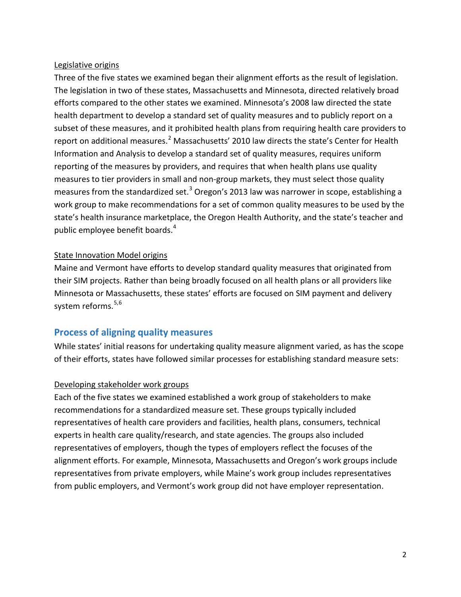#### Legislative origins

Three of the five states we examined began their alignment efforts as the result of legislation. The legislation in two of these states, Massachusetts and Minnesota, directed relatively broad efforts compared to the other states we examined. Minnesota's 2008 law directed the state health department to develop a standard set of quality measures and to publicly report on a subset of these measures, and it prohibited health plans from requiring health care providers to report on additional measures.<sup>[2](#page-9-1)</sup> Massachusetts' 2010 law directs the state's Center for Health Information and Analysis to develop a standard set of quality measures, requires uniform reporting of the measures by providers, and requires that when health plans use quality measures to tier providers in small and non-group markets, they must select those quality measures from the standardized set.<sup>[3](#page-9-2)</sup> Oregon's 2013 law was narrower in scope, establishing a work group to make recommendations for a set of common quality measures to be used by the state's health insurance marketplace, the Oregon Health Authority, and the state's teacher and public employee benefit boards.<sup>[4](#page-9-3)</sup>

#### **State Innovation Model origins**

Maine and Vermont have efforts to develop standard quality measures that originated from their SIM projects. Rather than being broadly focused on all health plans or all providers like Minnesota or Massachusetts, these states' efforts are focused on SIM payment and delivery system reforms. [5](#page-9-4),[6](#page-9-5)

# **Process of aligning quality measures**

While states' initial reasons for undertaking quality measure alignment varied, as has the scope of their efforts, states have followed similar processes for establishing standard measure sets:

#### Developing stakeholder work groups

Each of the five states we examined established a work group of stakeholders to make recommendations for a standardized measure set. These groups typically included representatives of health care providers and facilities, health plans, consumers, technical experts in health care quality/research, and state agencies. The groups also included representatives of employers, though the types of employers reflect the focuses of the alignment efforts. For example, Minnesota, Massachusetts and Oregon's work groups include representatives from private employers, while Maine's work group includes representatives from public employers, and Vermont's work group did not have employer representation.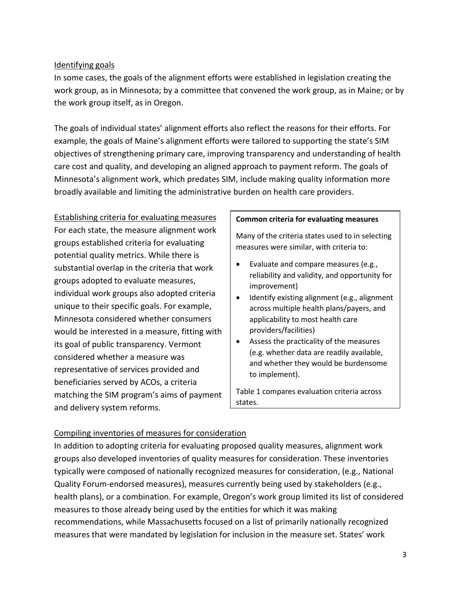## Identifying goals

In some cases, the goals of the alignment efforts were established in legislation creating the work group, as in Minnesota; by a committee that convened the work group, as in Maine; or by the work group itself, as in Oregon.

The goals of individual states' alignment efforts also reflect the reasons for their efforts. For example, the goals of Maine's alignment efforts were tailored to supporting the state's SIM objectives of strengthening primary care, improving transparency and understanding of health care cost and quality, and developing an aligned approach to payment reform. The goals of Minnesota's alignment work, which predates SIM, include making quality information more broadly available and limiting the administrative burden on health care providers.

Establishing criteria for evaluating measures For each state, the measure alignment work groups established criteria for evaluating potential quality metrics. While there is substantial overlap in the criteria that work groups adopted to evaluate measures, individual work groups also adopted criteria unique to their specific goals. For example, Minnesota considered whether consumers would be interested in a measure, fitting with its goal of public transparency. Vermont considered whether a measure was representative of services provided and beneficiaries served by ACOs, a criteria matching the SIM program's aims of payment and delivery system reforms.

#### **Common criteria for evaluating measures**

Many of the criteria states used to in selecting measures were similar, with criteria to:

- Evaluate and compare measures (e.g., reliability and validity, and opportunity for improvement)
- Identify existing alignment (e.g., alignment across multiple health plans/payers, and applicability to most health care providers/facilities)
- Assess the practicality of the measures (e.g. whether data are readily available, and whether they would be burdensome to implement).

Table 1 compares evaluation criteria across states.

# Compiling inventories of measures for consideration

In addition to adopting criteria for evaluating proposed quality measures, alignment work groups also developed inventories of quality measures for consideration. These inventories typically were composed of nationally recognized measures for consideration, (e.g., National Quality Forum-endorsed measures), measures currently being used by stakeholders (e.g., health plans), or a combination. For example, Oregon's work group limited its list of considered measures to those already being used by the entities for which it was making recommendations, while Massachusetts focused on a list of primarily nationally recognized measures that were mandated by legislation for inclusion in the measure set. States' work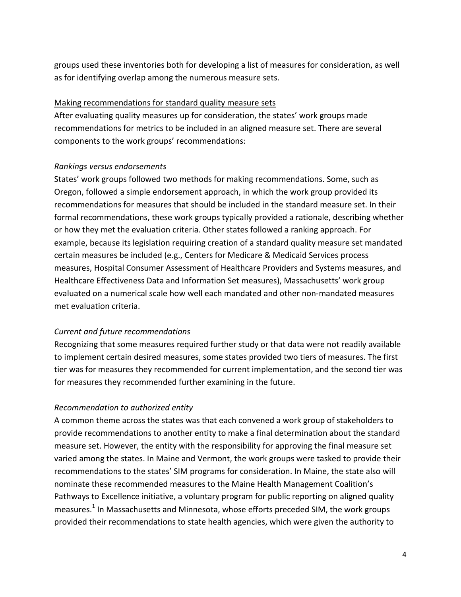groups used these inventories both for developing a list of measures for consideration, as well as for identifying overlap among the numerous measure sets.

#### Making recommendations for standard quality measure sets

After evaluating quality measures up for consideration, the states' work groups made recommendations for metrics to be included in an aligned measure set. There are several components to the work groups' recommendations:

#### *Rankings versus endorsements*

States' work groups followed two methods for making recommendations. Some, such as Oregon, followed a simple endorsement approach, in which the work group provided its recommendations for measures that should be included in the standard measure set. In their formal recommendations, these work groups typically provided a rationale, describing whether or how they met the evaluation criteria. Other states followed a ranking approach. For example, because its legislation requiring creation of a standard quality measure set mandated certain measures be included (e.g., Centers for Medicare & Medicaid Services process measures, Hospital Consumer Assessment of Healthcare Providers and Systems measures, and Healthcare Effectiveness Data and Information Set measures), Massachusetts' work group evaluated on a numerical scale how well each mandated and other non-mandated measures met evaluation criteria.

# *Current and future recommendations*

Recognizing that some measures required further study or that data were not readily available to implement certain desired measures, some states provided two tiers of measures. The first tier was for measures they recommended for current implementation, and the second tier was for measures they recommended further examining in the future.

# *Recommendation to authorized entity*

A common theme across the states was that each convened a work group of stakeholders to provide recommendations to another entity to make a final determination about the standard measure set. However, the entity with the responsibility for approving the final measure set varied among the states. In Maine and Vermont, the work groups were tasked to provide their recommendations to the states' SIM programs for consideration. In Maine, the state also will nominate these recommended measures to the Maine Health Management Coalition's Pathways to Excellence initiative, a voluntary program for public reporting on aligned quality measures.<sup>1</sup> In Massachusetts and Minnesota, whose efforts preceded SIM, the work groups provided their recommendations to state health agencies, which were given the authority to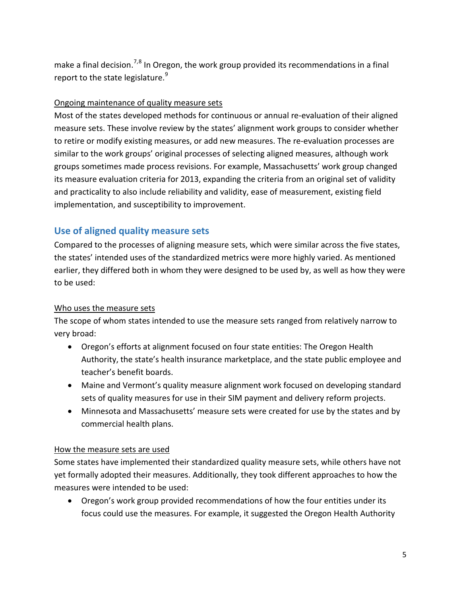make a final decision.<sup>[7,](#page-9-6)[8](#page-9-7)</sup> In Oregon, the work group provided its recommendations in a final report to the state legislature. $9$ 

## Ongoing maintenance of quality measure sets

Most of the states developed methods for continuous or annual re-evaluation of their aligned measure sets. These involve review by the states' alignment work groups to consider whether to retire or modify existing measures, or add new measures. The re-evaluation processes are similar to the work groups' original processes of selecting aligned measures, although work groups sometimes made process revisions. For example, Massachusetts' work group changed its measure evaluation criteria for 2013, expanding the criteria from an original set of validity and practicality to also include reliability and validity, ease of measurement, existing field implementation, and susceptibility to improvement.

# **Use of aligned quality measure sets**

Compared to the processes of aligning measure sets, which were similar across the five states, the states' intended uses of the standardized metrics were more highly varied. As mentioned earlier, they differed both in whom they were designed to be used by, as well as how they were to be used:

# Who uses the measure sets

The scope of whom states intended to use the measure sets ranged from relatively narrow to very broad:

- Oregon's efforts at alignment focused on four state entities: The Oregon Health Authority, the state's health insurance marketplace, and the state public employee and teacher's benefit boards.
- Maine and Vermont's quality measure alignment work focused on developing standard sets of quality measures for use in their SIM payment and delivery reform projects.
- Minnesota and Massachusetts' measure sets were created for use by the states and by commercial health plans.

#### How the measure sets are used

Some states have implemented their standardized quality measure sets, while others have not yet formally adopted their measures. Additionally, they took different approaches to how the measures were intended to be used:

• Oregon's work group provided recommendations of how the four entities under its focus could use the measures. For example, it suggested the Oregon Health Authority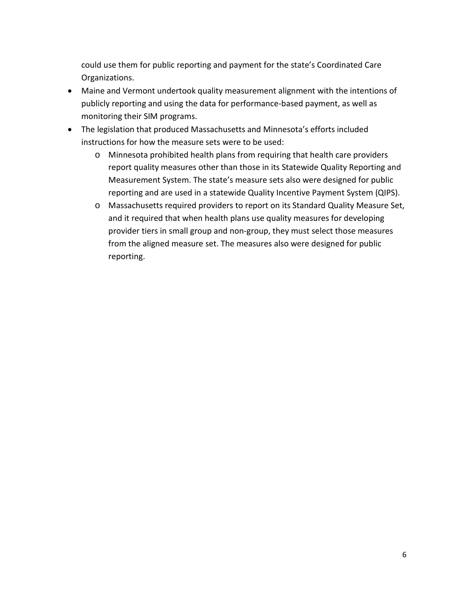could use them for public reporting and payment for the state's Coordinated Care Organizations.

- Maine and Vermont undertook quality measurement alignment with the intentions of publicly reporting and using the data for performance-based payment, as well as monitoring their SIM programs.
- The legislation that produced Massachusetts and Minnesota's efforts included instructions for how the measure sets were to be used:
	- o Minnesota prohibited health plans from requiring that health care providers report quality measures other than those in its Statewide Quality Reporting and Measurement System. The state's measure sets also were designed for public reporting and are used in a statewide Quality Incentive Payment System (QIPS).
	- o Massachusetts required providers to report on its Standard Quality Measure Set, and it required that when health plans use quality measures for developing provider tiers in small group and non-group, they must select those measures from the aligned measure set. The measures also were designed for public reporting.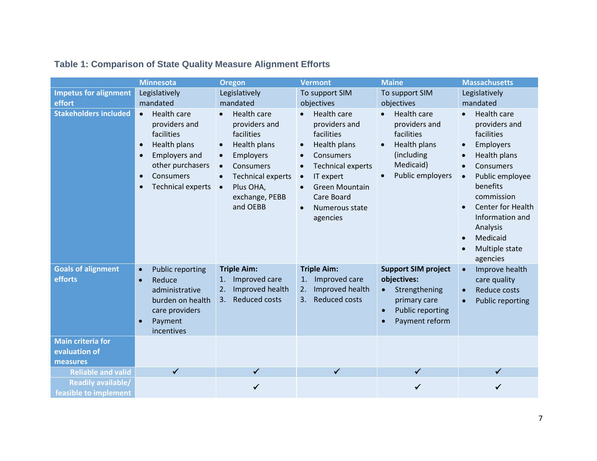|                                                       | <b>Minnesota</b>                                                                                                                                                                                    | <b>Oregon</b>                                                                                                                                                                                                                       | <b>Vermont</b>                                                                                                                                                                                                                                                      | <b>Maine</b>                                                                                                                                      | <b>Massachusetts</b>                                                                                                                                                                                                                                                                                     |
|-------------------------------------------------------|-----------------------------------------------------------------------------------------------------------------------------------------------------------------------------------------------------|-------------------------------------------------------------------------------------------------------------------------------------------------------------------------------------------------------------------------------------|---------------------------------------------------------------------------------------------------------------------------------------------------------------------------------------------------------------------------------------------------------------------|---------------------------------------------------------------------------------------------------------------------------------------------------|----------------------------------------------------------------------------------------------------------------------------------------------------------------------------------------------------------------------------------------------------------------------------------------------------------|
| <b>Impetus for alignment</b>                          | Legislatively                                                                                                                                                                                       | Legislatively                                                                                                                                                                                                                       | To support SIM                                                                                                                                                                                                                                                      | To support SIM                                                                                                                                    | Legislatively                                                                                                                                                                                                                                                                                            |
| effort                                                | mandated                                                                                                                                                                                            | mandated                                                                                                                                                                                                                            | objectives                                                                                                                                                                                                                                                          | objectives                                                                                                                                        | mandated                                                                                                                                                                                                                                                                                                 |
| <b>Stakeholders included</b>                          | Health care<br>providers and<br>facilities<br>Health plans<br>$\bullet$<br><b>Employers and</b><br>$\bullet$<br>other purchasers<br>Consumers<br>$\bullet$<br><b>Technical experts</b><br>$\bullet$ | <b>Health care</b><br>providers and<br>facilities<br>Health plans<br>$\bullet$<br>Employers<br>$\bullet$<br>Consumers<br>$\bullet$<br><b>Technical experts</b><br>$\bullet$<br>Plus OHA,<br>$\bullet$<br>exchange, PEBB<br>and OEBB | Health care<br>providers and<br>facilities<br>Health plans<br>$\bullet$<br>Consumers<br>$\bullet$<br><b>Technical experts</b><br>$\bullet$<br>IT expert<br>$\bullet$<br><b>Green Mountain</b><br>$\bullet$<br>Care Board<br>Numerous state<br>$\bullet$<br>agencies | Health care<br>providers and<br>facilities<br>Health plans<br>(including<br>Medicaid)<br>Public employers                                         | <b>Health care</b><br>providers and<br>facilities<br>Employers<br>$\bullet$<br>Health plans<br>$\bullet$<br><b>Consumers</b><br>Public employee<br>$\bullet$<br>benefits<br>commission<br><b>Center for Health</b><br>$\bullet$<br>Information and<br>Analysis<br>Medicaid<br>Multiple state<br>agencies |
| <b>Goals of alignment</b><br>efforts                  | <b>Public reporting</b><br>$\bullet$<br>Reduce<br>$\bullet$<br>administrative<br>burden on health<br>care providers<br>Payment<br>$\bullet$<br>incentives                                           | <b>Triple Aim:</b><br>Improved care<br>1.<br>Improved health<br>2.<br><b>Reduced costs</b><br>3.                                                                                                                                    | <b>Triple Aim:</b><br>Improved care<br>1.<br>Improved health<br>2.<br><b>Reduced costs</b><br>3.                                                                                                                                                                    | <b>Support SIM project</b><br>objectives:<br>Strengthening<br>$\bullet$<br>primary care<br><b>Public reporting</b><br>$\bullet$<br>Payment reform | Improve health<br>$\bullet$<br>care quality<br><b>Reduce costs</b><br>$\bullet$<br><b>Public reporting</b><br>$\bullet$                                                                                                                                                                                  |
| <b>Main criteria for</b><br>evaluation of<br>measures |                                                                                                                                                                                                     |                                                                                                                                                                                                                                     |                                                                                                                                                                                                                                                                     |                                                                                                                                                   |                                                                                                                                                                                                                                                                                                          |
| <b>Reliable and valid</b>                             | $\checkmark$                                                                                                                                                                                        |                                                                                                                                                                                                                                     | ✓                                                                                                                                                                                                                                                                   |                                                                                                                                                   |                                                                                                                                                                                                                                                                                                          |
| <b>Readily available/</b><br>feasible to implement    |                                                                                                                                                                                                     | ✓                                                                                                                                                                                                                                   |                                                                                                                                                                                                                                                                     |                                                                                                                                                   |                                                                                                                                                                                                                                                                                                          |

# **Table 1: Comparison of State Quality Measure Alignment Efforts**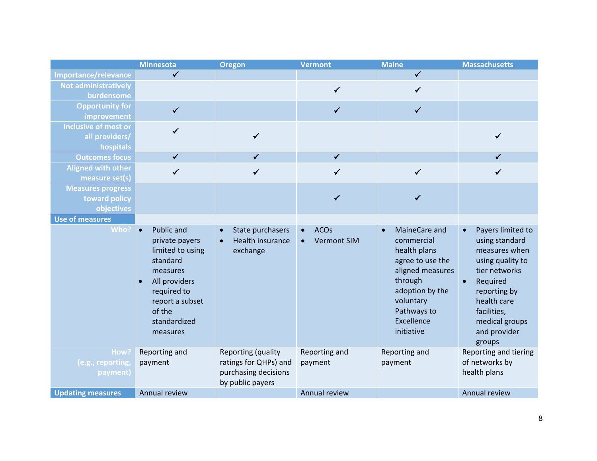|                                      | <b>Minnesota</b>                                                                                                                                                               | <b>Oregon</b>                                                                                  | <b>Vermont</b>                    | <b>Maine</b>                                                                                                                                                              | <b>Massachusetts</b>                                                                                                                                                                                                      |
|--------------------------------------|--------------------------------------------------------------------------------------------------------------------------------------------------------------------------------|------------------------------------------------------------------------------------------------|-----------------------------------|---------------------------------------------------------------------------------------------------------------------------------------------------------------------------|---------------------------------------------------------------------------------------------------------------------------------------------------------------------------------------------------------------------------|
| Importance/relevance                 | ✓                                                                                                                                                                              |                                                                                                |                                   | ✔                                                                                                                                                                         |                                                                                                                                                                                                                           |
| <b>Not administratively</b>          |                                                                                                                                                                                |                                                                                                | $\checkmark$                      | ✓                                                                                                                                                                         |                                                                                                                                                                                                                           |
| burdensome                           |                                                                                                                                                                                |                                                                                                |                                   |                                                                                                                                                                           |                                                                                                                                                                                                                           |
| <b>Opportunity for</b>               | ✓                                                                                                                                                                              |                                                                                                |                                   |                                                                                                                                                                           |                                                                                                                                                                                                                           |
| improvement                          |                                                                                                                                                                                |                                                                                                |                                   |                                                                                                                                                                           |                                                                                                                                                                                                                           |
| <b>Inclusive of most or</b>          |                                                                                                                                                                                |                                                                                                |                                   |                                                                                                                                                                           |                                                                                                                                                                                                                           |
| all providers/                       |                                                                                                                                                                                | $\checkmark$                                                                                   |                                   |                                                                                                                                                                           | ✓                                                                                                                                                                                                                         |
| hospitals                            |                                                                                                                                                                                |                                                                                                |                                   |                                                                                                                                                                           |                                                                                                                                                                                                                           |
| <b>Outcomes focus</b>                | ✓                                                                                                                                                                              |                                                                                                | ✓                                 |                                                                                                                                                                           |                                                                                                                                                                                                                           |
| <b>Aligned with other</b>            | $\checkmark$                                                                                                                                                                   | $\checkmark$                                                                                   | ✓                                 | $\checkmark$                                                                                                                                                              | ✔                                                                                                                                                                                                                         |
| measure set(s)                       |                                                                                                                                                                                |                                                                                                |                                   |                                                                                                                                                                           |                                                                                                                                                                                                                           |
| <b>Measures progress</b>             |                                                                                                                                                                                |                                                                                                |                                   |                                                                                                                                                                           |                                                                                                                                                                                                                           |
| toward policy                        |                                                                                                                                                                                |                                                                                                | ✓                                 | ✓                                                                                                                                                                         |                                                                                                                                                                                                                           |
| objectives                           |                                                                                                                                                                                |                                                                                                |                                   |                                                                                                                                                                           |                                                                                                                                                                                                                           |
| <b>Use of measures</b>               |                                                                                                                                                                                |                                                                                                |                                   |                                                                                                                                                                           |                                                                                                                                                                                                                           |
| Who?                                 | Public and<br>$\bullet$<br>private payers<br>limited to using<br>standard<br>measures<br>All providers<br>required to<br>report a subset<br>of the<br>standardized<br>measures | State purchasers<br><b>Health insurance</b><br>exchange                                        | <b>ACOs</b><br><b>Vermont SIM</b> | MaineCare and<br>commercial<br>health plans<br>agree to use the<br>aligned measures<br>through<br>adoption by the<br>voluntary<br>Pathways to<br>Excellence<br>initiative | Payers limited to<br>$\bullet$<br>using standard<br>measures when<br>using quality to<br>tier networks<br>Required<br>$\bullet$<br>reporting by<br>health care<br>facilities,<br>medical groups<br>and provider<br>groups |
| How?<br>(e.g., reporting<br>payment) | Reporting and<br>payment                                                                                                                                                       | <b>Reporting (quality</b><br>ratings for QHPs) and<br>purchasing decisions<br>by public payers | Reporting and<br>payment          | Reporting and<br>payment                                                                                                                                                  | Reporting and tiering<br>of networks by<br>health plans                                                                                                                                                                   |
| <b>Updating measures</b>             | Annual review                                                                                                                                                                  |                                                                                                | Annual review                     |                                                                                                                                                                           | Annual review                                                                                                                                                                                                             |